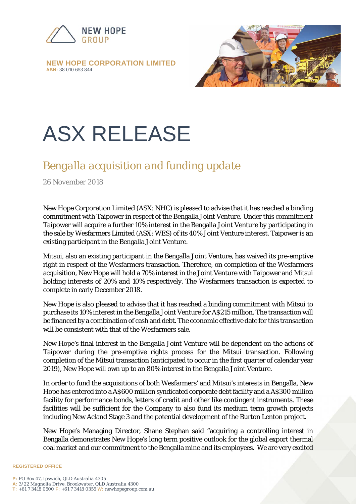

**NEW HOPE CORPORATION LIMITED ABN:** *38 010 653 844*



## ASX RELEASE

## *Bengalla acquisition and funding update*

26 November 2018

New Hope Corporation Limited (ASX: NHC) is pleased to advise that it has reached a binding commitment with Taipower in respect of the Bengalla Joint Venture. Under this commitment Taipower will acquire a further 10% interest in the Bengalla Joint Venture by participating in the sale by Wesfarmers Limited (ASX: WES) of its 40% Joint Venture interest. Taipower is an existing participant in the Bengalla Joint Venture.

Mitsui, also an existing participant in the Bengalla Joint Venture, has waived its pre-emptive right in respect of the Wesfarmers transaction. Therefore, on completion of the Wesfarmers acquisition, New Hope will hold a 70% interest in the Joint Venture with Taipower and Mitsui holding interests of 20% and 10% respectively. The Wesfarmers transaction is expected to complete in early December 2018.

New Hope is also pleased to advise that it has reached a binding commitment with Mitsui to purchase its 10% interest in the Bengalla Joint Venture for A\$215 million. The transaction will be financed by a combination of cash and debt. The economic effective date for this transaction will be consistent with that of the Wesfarmers sale.

New Hope's final interest in the Bengalla Joint Venture will be dependent on the actions of Taipower during the pre-emptive rights process for the Mitsui transaction. Following completion of the Mitsui transaction (anticipated to occur in the first quarter of calendar year 2019), New Hope will own up to an 80% interest in the Bengalla Joint Venture.

In order to fund the acquisitions of both Wesfarmers' and Mitsui's interests in Bengalla, New Hope has entered into a A\$600 million syndicated corporate debt facility and a A\$300 million facility for performance bonds, letters of credit and other like contingent instruments. These facilities will be sufficient for the Company to also fund its medium term growth projects including New Acland Stage 3 and the potential development of the Burton Lenton project.

New Hope's Managing Director, Shane Stephan said "acquiring a controlling interest in Bengalla demonstrates New Hope's long term positive outlook for the global export thermal coal market and our commitment to the Bengalla mine and its employees. We are very excited

## **REGISTERED OFFICE**